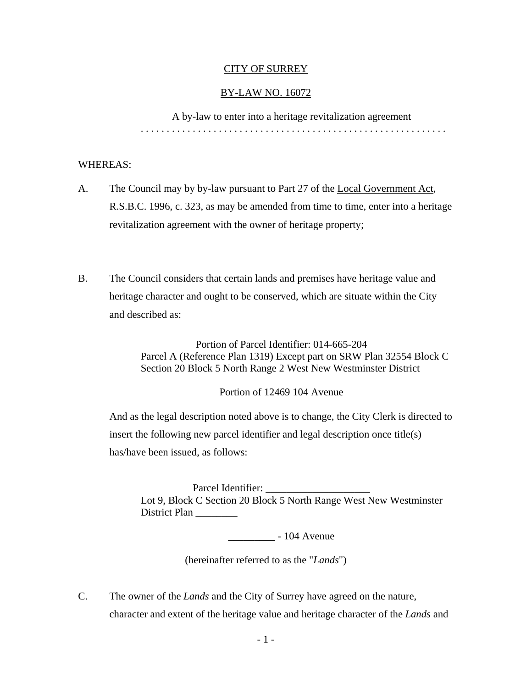### CITY OF SURREY

### BY-LAW NO. 16072

 A by-law to enter into a heritage revitalization agreement . . . . . . . . . . . . . . . . . . . . . . . . . . . . . . . . . . . . . . . . . . . . . . . . . . . . . . . . . . .

## WHEREAS:

- A. The Council may by by-law pursuant to Part 27 of the Local Government Act, R.S.B.C. 1996, c. 323, as may be amended from time to time, enter into a heritage revitalization agreement with the owner of heritage property;
- B. The Council considers that certain lands and premises have heritage value and heritage character and ought to be conserved, which are situate within the City and described as:

Portion of Parcel Identifier: 014-665-204 Parcel A (Reference Plan 1319) Except part on SRW Plan 32554 Block C Section 20 Block 5 North Range 2 West New Westminster District

Portion of 12469 104 Avenue

And as the legal description noted above is to change, the City Clerk is directed to insert the following new parcel identifier and legal description once title(s) has/have been issued, as follows:

Parcel Identifier: Lot 9, Block C Section 20 Block 5 North Range West New Westminster District Plan

\_\_\_\_\_\_\_\_\_ - 104 Avenue

(hereinafter referred to as the "*Lands*")

C. The owner of the *Lands* and the City of Surrey have agreed on the nature, character and extent of the heritage value and heritage character of the *Lands* and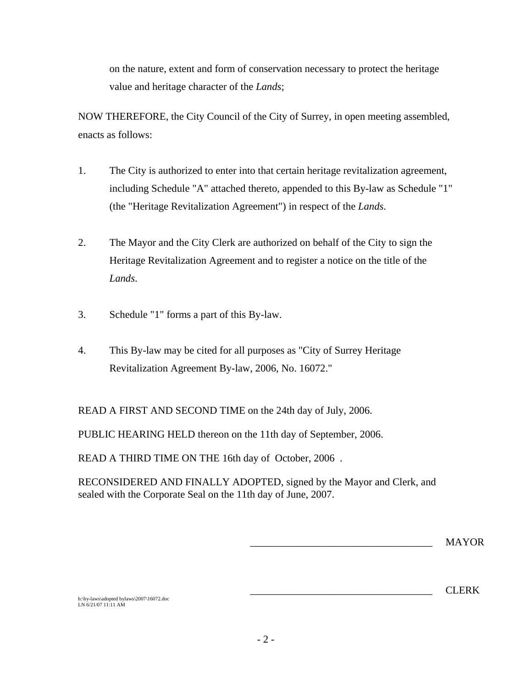on the nature, extent and form of conservation necessary to protect the heritage value and heritage character of the *Lands*;

NOW THEREFORE, the City Council of the City of Surrey, in open meeting assembled, enacts as follows:

- 1. The City is authorized to enter into that certain heritage revitalization agreement, including Schedule "A" attached thereto, appended to this By-law as Schedule "1" (the "Heritage Revitalization Agreement") in respect of the *Lands*.
- 2. The Mayor and the City Clerk are authorized on behalf of the City to sign the Heritage Revitalization Agreement and to register a notice on the title of the *Lands*.
- 3. Schedule "1" forms a part of this By-law.
- 4. This By-law may be cited for all purposes as "City of Surrey Heritage Revitalization Agreement By-law, 2006, No. 16072."

READ A FIRST AND SECOND TIME on the 24th day of July, 2006.

PUBLIC HEARING HELD thereon on the 11th day of September, 2006.

READ A THIRD TIME ON THE 16th day of October, 2006 .

RECONSIDERED AND FINALLY ADOPTED, signed by the Mayor and Clerk, and sealed with the Corporate Seal on the 11th day of June, 2007.

\_\_\_\_\_\_\_\_\_\_\_\_\_\_\_\_\_\_\_\_\_\_\_\_\_\_\_\_\_\_\_\_\_\_\_ MAYOR

 $\overline{\phantom{a}}$  CLERK

h:\by-laws\adopted bylaws\2007\16072.doc LN 6/21/07 11:11 AM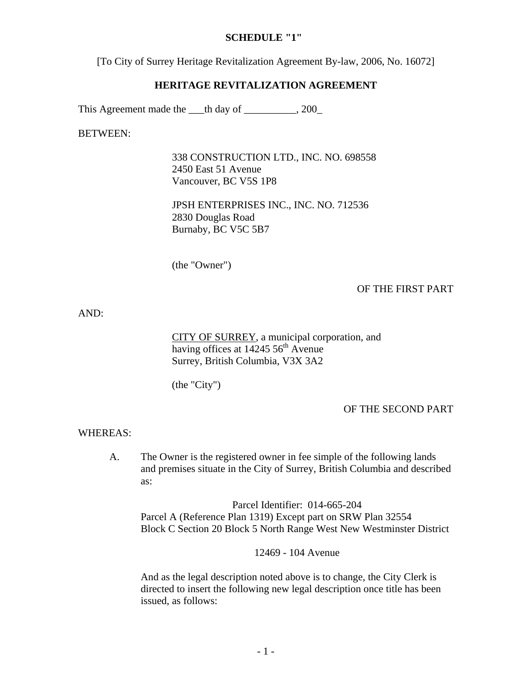### **SCHEDULE "1"**

[To City of Surrey Heritage Revitalization Agreement By-law, 2006, No. 16072]

#### **HERITAGE REVITALIZATION AGREEMENT**

This Agreement made the \_\_\_th day of \_\_\_\_\_\_\_\_, 200\_

BETWEEN:

338 CONSTRUCTION LTD., INC. NO. 698558 2450 East 51 Avenue Vancouver, BC V5S 1P8

JPSH ENTERPRISES INC., INC. NO. 712536 2830 Douglas Road Burnaby, BC V5C 5B7

(the "Owner")

OF THE FIRST PART

AND:

CITY OF SURREY, a municipal corporation, and having offices at  $1424556^{\text{th}}$  Avenue Surrey, British Columbia, V3X 3A2

(the "City")

OF THE SECOND PART

WHEREAS:

A. The Owner is the registered owner in fee simple of the following lands and premises situate in the City of Surrey, British Columbia and described as:

Parcel Identifier: 014-665-204 Parcel A (Reference Plan 1319) Except part on SRW Plan 32554 Block C Section 20 Block 5 North Range West New Westminster District

12469 - 104 Avenue

And as the legal description noted above is to change, the City Clerk is directed to insert the following new legal description once title has been issued, as follows: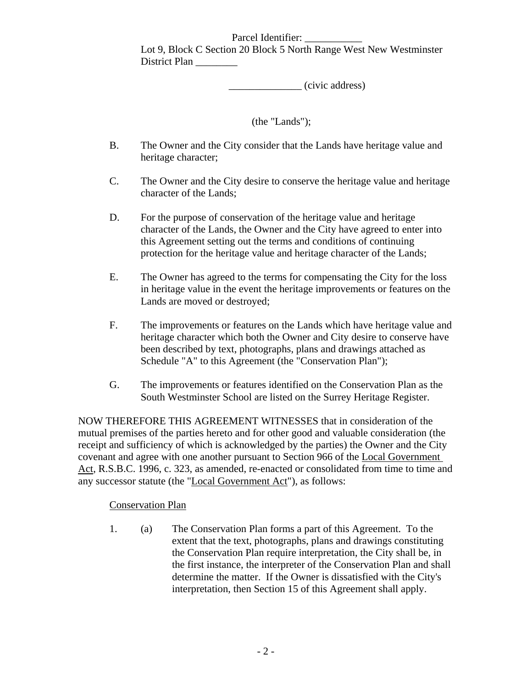## Parcel Identifier:

Lot 9, Block C Section 20 Block 5 North Range West New Westminster District Plan

\_\_\_\_\_\_\_\_\_\_\_\_\_\_ (civic address)

# (the "Lands");

- B. The Owner and the City consider that the Lands have heritage value and heritage character;
- C. The Owner and the City desire to conserve the heritage value and heritage character of the Lands;
- D. For the purpose of conservation of the heritage value and heritage character of the Lands, the Owner and the City have agreed to enter into this Agreement setting out the terms and conditions of continuing protection for the heritage value and heritage character of the Lands;
- E. The Owner has agreed to the terms for compensating the City for the loss in heritage value in the event the heritage improvements or features on the Lands are moved or destroyed;
- F. The improvements or features on the Lands which have heritage value and heritage character which both the Owner and City desire to conserve have been described by text, photographs, plans and drawings attached as Schedule "A" to this Agreement (the "Conservation Plan");
- G. The improvements or features identified on the Conservation Plan as the South Westminster School are listed on the Surrey Heritage Register.

NOW THEREFORE THIS AGREEMENT WITNESSES that in consideration of the mutual premises of the parties hereto and for other good and valuable consideration (the receipt and sufficiency of which is acknowledged by the parties) the Owner and the City covenant and agree with one another pursuant to Section 966 of the Local Government Act, R.S.B.C. 1996, c. 323, as amended, re-enacted or consolidated from time to time and any successor statute (the "Local Government Act"), as follows:

# Conservation Plan

1. (a) The Conservation Plan forms a part of this Agreement. To the extent that the text, photographs, plans and drawings constituting the Conservation Plan require interpretation, the City shall be, in the first instance, the interpreter of the Conservation Plan and shall determine the matter. If the Owner is dissatisfied with the City's interpretation, then Section 15 of this Agreement shall apply.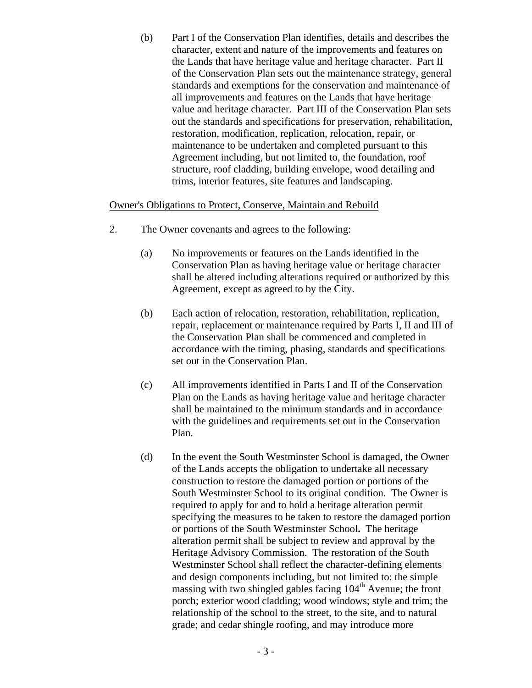(b) Part I of the Conservation Plan identifies, details and describes the character, extent and nature of the improvements and features on the Lands that have heritage value and heritage character. Part II of the Conservation Plan sets out the maintenance strategy, general standards and exemptions for the conservation and maintenance of all improvements and features on the Lands that have heritage value and heritage character. Part III of the Conservation Plan sets out the standards and specifications for preservation, rehabilitation, restoration, modification, replication, relocation, repair, or maintenance to be undertaken and completed pursuant to this Agreement including, but not limited to, the foundation, roof structure, roof cladding, building envelope, wood detailing and trims, interior features, site features and landscaping.

### Owner's Obligations to Protect, Conserve, Maintain and Rebuild

- 2. The Owner covenants and agrees to the following:
	- (a) No improvements or features on the Lands identified in the Conservation Plan as having heritage value or heritage character shall be altered including alterations required or authorized by this Agreement, except as agreed to by the City.
	- (b) Each action of relocation, restoration, rehabilitation, replication, repair, replacement or maintenance required by Parts I, II and III of the Conservation Plan shall be commenced and completed in accordance with the timing, phasing, standards and specifications set out in the Conservation Plan.
	- (c) All improvements identified in Parts I and II of the Conservation Plan on the Lands as having heritage value and heritage character shall be maintained to the minimum standards and in accordance with the guidelines and requirements set out in the Conservation Plan.
	- (d) In the event the South Westminster School is damaged, the Owner of the Lands accepts the obligation to undertake all necessary construction to restore the damaged portion or portions of the South Westminster School to its original condition. The Owner is required to apply for and to hold a heritage alteration permit specifying the measures to be taken to restore the damaged portion or portions of the South Westminster School**.** The heritage alteration permit shall be subject to review and approval by the Heritage Advisory Commission. The restoration of the South Westminster School shall reflect the character-defining elements and design components including, but not limited to: the simple massing with two shingled gables facing  $104<sup>th</sup>$  Avenue; the front porch; exterior wood cladding; wood windows; style and trim; the relationship of the school to the street, to the site, and to natural grade; and cedar shingle roofing, and may introduce more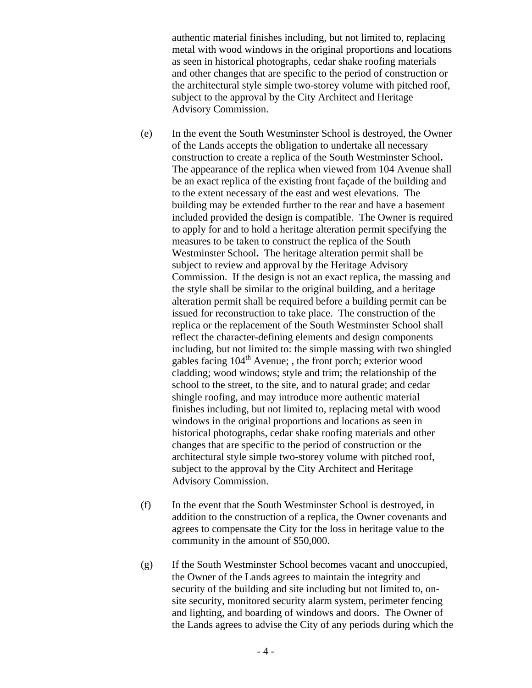authentic material finishes including, but not limited to, replacing metal with wood windows in the original proportions and locations as seen in historical photographs, cedar shake roofing materials and other changes that are specific to the period of construction or the architectural style simple two-storey volume with pitched roof, subject to the approval by the City Architect and Heritage Advisory Commission.

- (e) In the event the South Westminster School is destroyed, the Owner of the Lands accepts the obligation to undertake all necessary construction to create a replica of the South Westminster School**.**  The appearance of the replica when viewed from 104 Avenue shall be an exact replica of the existing front façade of the building and to the extent necessary of the east and west elevations. The building may be extended further to the rear and have a basement included provided the design is compatible. The Owner is required to apply for and to hold a heritage alteration permit specifying the measures to be taken to construct the replica of the South Westminster School**.** The heritage alteration permit shall be subject to review and approval by the Heritage Advisory Commission. If the design is not an exact replica, the massing and the style shall be similar to the original building, and a heritage alteration permit shall be required before a building permit can be issued for reconstruction to take place. The construction of the replica or the replacement of the South Westminster School shall reflect the character-defining elements and design components including, but not limited to: the simple massing with two shingled gables facing  $104<sup>th</sup>$  Avenue; , the front porch; exterior wood cladding; wood windows; style and trim; the relationship of the school to the street, to the site, and to natural grade; and cedar shingle roofing, and may introduce more authentic material finishes including, but not limited to, replacing metal with wood windows in the original proportions and locations as seen in historical photographs, cedar shake roofing materials and other changes that are specific to the period of construction or the architectural style simple two-storey volume with pitched roof, subject to the approval by the City Architect and Heritage Advisory Commission.
- (f) In the event that the South Westminster School is destroyed, in addition to the construction of a replica, the Owner covenants and agrees to compensate the City for the loss in heritage value to the community in the amount of \$50,000.
- (g) If the South Westminster School becomes vacant and unoccupied, the Owner of the Lands agrees to maintain the integrity and security of the building and site including but not limited to, onsite security, monitored security alarm system, perimeter fencing and lighting, and boarding of windows and doors. The Owner of the Lands agrees to advise the City of any periods during which the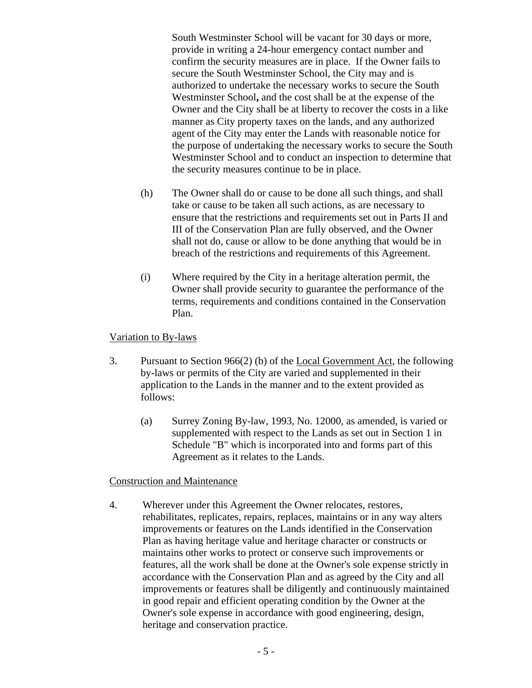South Westminster School will be vacant for 30 days or more, provide in writing a 24-hour emergency contact number and confirm the security measures are in place. If the Owner fails to secure the South Westminster School, the City may and is authorized to undertake the necessary works to secure the South Westminster School**,** and the cost shall be at the expense of the Owner and the City shall be at liberty to recover the costs in a like manner as City property taxes on the lands, and any authorized agent of the City may enter the Lands with reasonable notice for the purpose of undertaking the necessary works to secure the South Westminster School and to conduct an inspection to determine that the security measures continue to be in place.

- (h) The Owner shall do or cause to be done all such things, and shall take or cause to be taken all such actions, as are necessary to ensure that the restrictions and requirements set out in Parts II and III of the Conservation Plan are fully observed, and the Owner shall not do, cause or allow to be done anything that would be in breach of the restrictions and requirements of this Agreement.
- (i) Where required by the City in a heritage alteration permit, the Owner shall provide security to guarantee the performance of the terms, requirements and conditions contained in the Conservation Plan.

## Variation to By-laws

- 3. Pursuant to Section 966(2) (b) of the Local Government Act, the following by-laws or permits of the City are varied and supplemented in their application to the Lands in the manner and to the extent provided as follows:
	- (a) Surrey Zoning By-law, 1993, No. 12000, as amended, is varied or supplemented with respect to the Lands as set out in Section 1 in Schedule "B" which is incorporated into and forms part of this Agreement as it relates to the Lands.

### Construction and Maintenance

4. Wherever under this Agreement the Owner relocates, restores, rehabilitates, replicates, repairs, replaces, maintains or in any way alters improvements or features on the Lands identified in the Conservation Plan as having heritage value and heritage character or constructs or maintains other works to protect or conserve such improvements or features, all the work shall be done at the Owner's sole expense strictly in accordance with the Conservation Plan and as agreed by the City and all improvements or features shall be diligently and continuously maintained in good repair and efficient operating condition by the Owner at the Owner's sole expense in accordance with good engineering, design, heritage and conservation practice.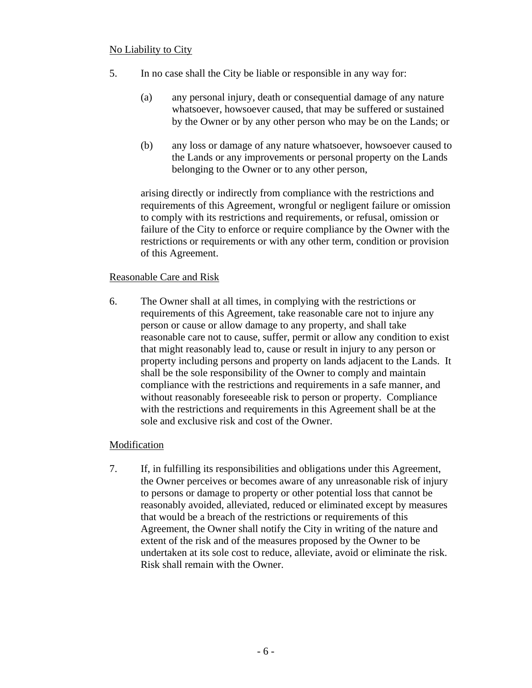## No Liability to City

- 5. In no case shall the City be liable or responsible in any way for:
	- (a) any personal injury, death or consequential damage of any nature whatsoever, howsoever caused, that may be suffered or sustained by the Owner or by any other person who may be on the Lands; or
	- (b) any loss or damage of any nature whatsoever, howsoever caused to the Lands or any improvements or personal property on the Lands belonging to the Owner or to any other person,

 arising directly or indirectly from compliance with the restrictions and requirements of this Agreement, wrongful or negligent failure or omission to comply with its restrictions and requirements, or refusal, omission or failure of the City to enforce or require compliance by the Owner with the restrictions or requirements or with any other term, condition or provision of this Agreement.

### Reasonable Care and Risk

6. The Owner shall at all times, in complying with the restrictions or requirements of this Agreement, take reasonable care not to injure any person or cause or allow damage to any property, and shall take reasonable care not to cause, suffer, permit or allow any condition to exist that might reasonably lead to, cause or result in injury to any person or property including persons and property on lands adjacent to the Lands. It shall be the sole responsibility of the Owner to comply and maintain compliance with the restrictions and requirements in a safe manner, and without reasonably foreseeable risk to person or property. Compliance with the restrictions and requirements in this Agreement shall be at the sole and exclusive risk and cost of the Owner.

### Modification

7. If, in fulfilling its responsibilities and obligations under this Agreement, the Owner perceives or becomes aware of any unreasonable risk of injury to persons or damage to property or other potential loss that cannot be reasonably avoided, alleviated, reduced or eliminated except by measures that would be a breach of the restrictions or requirements of this Agreement, the Owner shall notify the City in writing of the nature and extent of the risk and of the measures proposed by the Owner to be undertaken at its sole cost to reduce, alleviate, avoid or eliminate the risk. Risk shall remain with the Owner.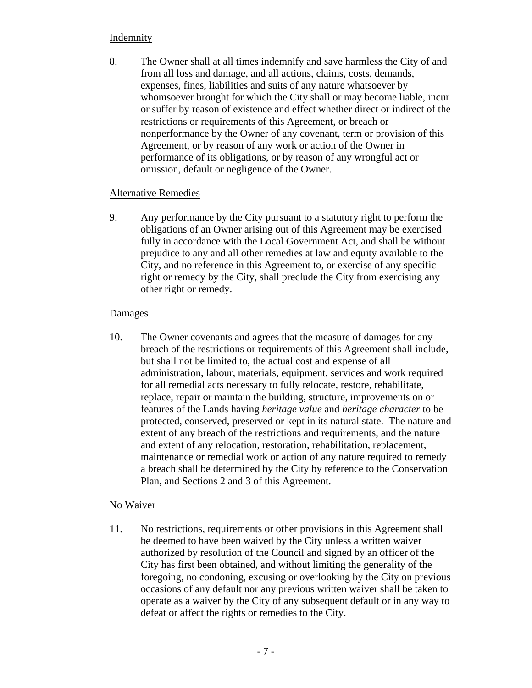# **Indemnity**

8. The Owner shall at all times indemnify and save harmless the City of and from all loss and damage, and all actions, claims, costs, demands, expenses, fines, liabilities and suits of any nature whatsoever by whomsoever brought for which the City shall or may become liable, incur or suffer by reason of existence and effect whether direct or indirect of the restrictions or requirements of this Agreement, or breach or nonperformance by the Owner of any covenant, term or provision of this Agreement, or by reason of any work or action of the Owner in performance of its obligations, or by reason of any wrongful act or omission, default or negligence of the Owner.

# Alternative Remedies

9. Any performance by the City pursuant to a statutory right to perform the obligations of an Owner arising out of this Agreement may be exercised fully in accordance with the Local Government Act, and shall be without prejudice to any and all other remedies at law and equity available to the City, and no reference in this Agreement to, or exercise of any specific right or remedy by the City, shall preclude the City from exercising any other right or remedy.

# **Damages**

10. The Owner covenants and agrees that the measure of damages for any breach of the restrictions or requirements of this Agreement shall include, but shall not be limited to, the actual cost and expense of all administration, labour, materials, equipment, services and work required for all remedial acts necessary to fully relocate, restore, rehabilitate, replace, repair or maintain the building, structure, improvements on or features of the Lands having *heritage value* and *heritage character* to be protected, conserved, preserved or kept in its natural state. The nature and extent of any breach of the restrictions and requirements, and the nature and extent of any relocation, restoration, rehabilitation, replacement, maintenance or remedial work or action of any nature required to remedy a breach shall be determined by the City by reference to the Conservation Plan, and Sections 2 and 3 of this Agreement.

# No Waiver

11. No restrictions, requirements or other provisions in this Agreement shall be deemed to have been waived by the City unless a written waiver authorized by resolution of the Council and signed by an officer of the City has first been obtained, and without limiting the generality of the foregoing, no condoning, excusing or overlooking by the City on previous occasions of any default nor any previous written waiver shall be taken to operate as a waiver by the City of any subsequent default or in any way to defeat or affect the rights or remedies to the City.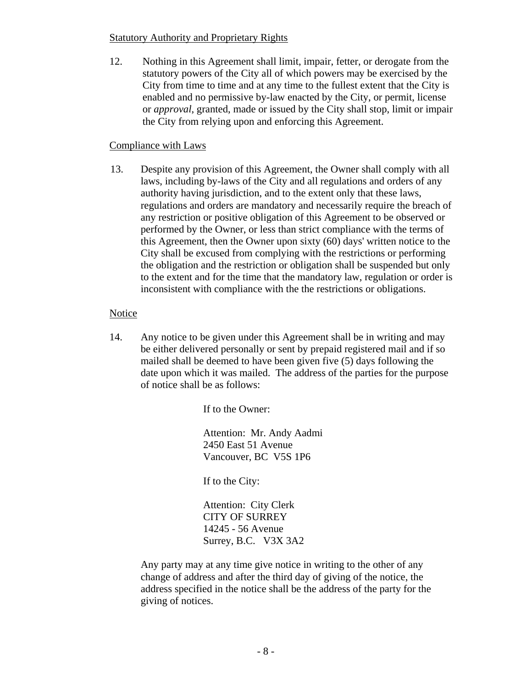## Statutory Authority and Proprietary Rights

12. Nothing in this Agreement shall limit, impair, fetter, or derogate from the statutory powers of the City all of which powers may be exercised by the City from time to time and at any time to the fullest extent that the City is enabled and no permissive by-law enacted by the City, or permit, license or *approval*, granted, made or issued by the City shall stop, limit or impair the City from relying upon and enforcing this Agreement.

## Compliance with Laws

13. Despite any provision of this Agreement, the Owner shall comply with all laws, including by-laws of the City and all regulations and orders of any authority having jurisdiction, and to the extent only that these laws, regulations and orders are mandatory and necessarily require the breach of any restriction or positive obligation of this Agreement to be observed or performed by the Owner, or less than strict compliance with the terms of this Agreement, then the Owner upon sixty (60) days' written notice to the City shall be excused from complying with the restrictions or performing the obligation and the restriction or obligation shall be suspended but only to the extent and for the time that the mandatory law, regulation or order is inconsistent with compliance with the the restrictions or obligations.

# **Notice**

14. Any notice to be given under this Agreement shall be in writing and may be either delivered personally or sent by prepaid registered mail and if so mailed shall be deemed to have been given five (5) days following the date upon which it was mailed. The address of the parties for the purpose of notice shall be as follows:

If to the Owner:

Attention: Mr. Andy Aadmi 2450 East 51 Avenue Vancouver, BC V5S 1P6

If to the City:

Attention: City Clerk CITY OF SURREY 14245 - 56 Avenue Surrey, B.C. V3X 3A2

 Any party may at any time give notice in writing to the other of any change of address and after the third day of giving of the notice, the address specified in the notice shall be the address of the party for the giving of notices.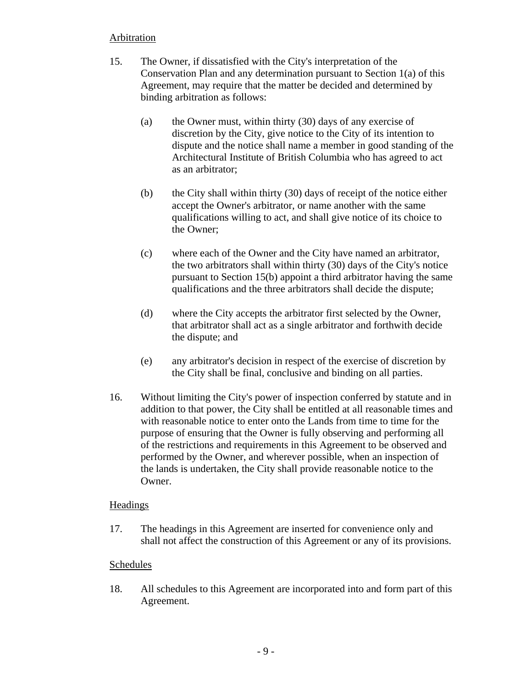# **Arbitration**

- 15. The Owner, if dissatisfied with the City's interpretation of the Conservation Plan and any determination pursuant to Section 1(a) of this Agreement, may require that the matter be decided and determined by binding arbitration as follows:
	- (a) the Owner must, within thirty (30) days of any exercise of discretion by the City, give notice to the City of its intention to dispute and the notice shall name a member in good standing of the Architectural Institute of British Columbia who has agreed to act as an arbitrator;
	- (b) the City shall within thirty (30) days of receipt of the notice either accept the Owner's arbitrator, or name another with the same qualifications willing to act, and shall give notice of its choice to the Owner;
	- (c) where each of the Owner and the City have named an arbitrator, the two arbitrators shall within thirty (30) days of the City's notice pursuant to Section 15(b) appoint a third arbitrator having the same qualifications and the three arbitrators shall decide the dispute;
	- (d) where the City accepts the arbitrator first selected by the Owner, that arbitrator shall act as a single arbitrator and forthwith decide the dispute; and
	- (e) any arbitrator's decision in respect of the exercise of discretion by the City shall be final, conclusive and binding on all parties.
- 16. Without limiting the City's power of inspection conferred by statute and in addition to that power, the City shall be entitled at all reasonable times and with reasonable notice to enter onto the Lands from time to time for the purpose of ensuring that the Owner is fully observing and performing all of the restrictions and requirements in this Agreement to be observed and performed by the Owner, and wherever possible, when an inspection of the lands is undertaken, the City shall provide reasonable notice to the Owner.

# Headings

17. The headings in this Agreement are inserted for convenience only and shall not affect the construction of this Agreement or any of its provisions.

# Schedules

18. All schedules to this Agreement are incorporated into and form part of this Agreement.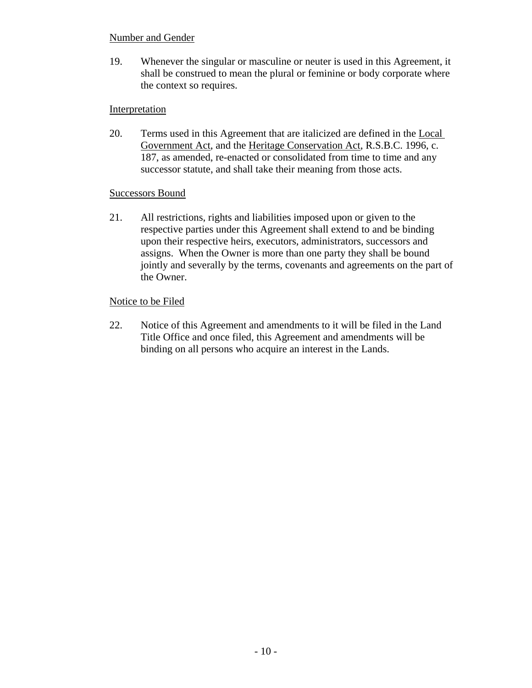## Number and Gender

19. Whenever the singular or masculine or neuter is used in this Agreement, it shall be construed to mean the plural or feminine or body corporate where the context so requires.

## Interpretation

20. Terms used in this Agreement that are italicized are defined in the Local Government Act, and the Heritage Conservation Act, R.S.B.C. 1996, c. 187, as amended, re-enacted or consolidated from time to time and any successor statute, and shall take their meaning from those acts.

### Successors Bound

21. All restrictions, rights and liabilities imposed upon or given to the respective parties under this Agreement shall extend to and be binding upon their respective heirs, executors, administrators, successors and assigns. When the Owner is more than one party they shall be bound jointly and severally by the terms, covenants and agreements on the part of the Owner.

## Notice to be Filed

22. Notice of this Agreement and amendments to it will be filed in the Land Title Office and once filed, this Agreement and amendments will be binding on all persons who acquire an interest in the Lands.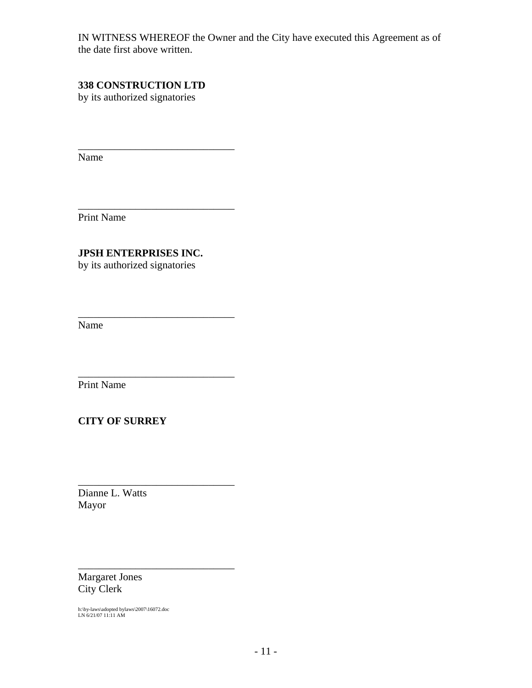IN WITNESS WHEREOF the Owner and the City have executed this Agreement as of the date first above written.

# **338 CONSTRUCTION LTD**

\_\_\_\_\_\_\_\_\_\_\_\_\_\_\_\_\_\_\_\_\_\_\_\_\_\_\_\_\_\_

\_\_\_\_\_\_\_\_\_\_\_\_\_\_\_\_\_\_\_\_\_\_\_\_\_\_\_\_\_\_

\_\_\_\_\_\_\_\_\_\_\_\_\_\_\_\_\_\_\_\_\_\_\_\_\_\_\_\_\_\_

\_\_\_\_\_\_\_\_\_\_\_\_\_\_\_\_\_\_\_\_\_\_\_\_\_\_\_\_\_\_

\_\_\_\_\_\_\_\_\_\_\_\_\_\_\_\_\_\_\_\_\_\_\_\_\_\_\_\_\_\_

\_\_\_\_\_\_\_\_\_\_\_\_\_\_\_\_\_\_\_\_\_\_\_\_\_\_\_\_\_\_

by its authorized signatories

Name

Print Name

# **JPSH ENTERPRISES INC.**

by its authorized signatories

Name

Print Name

# **CITY OF SURREY**

Dianne L. Watts Mayor

Margaret Jones City Clerk

h:\by-laws\adopted bylaws\2007\16072.doc LN 6/21/07 11:11 AM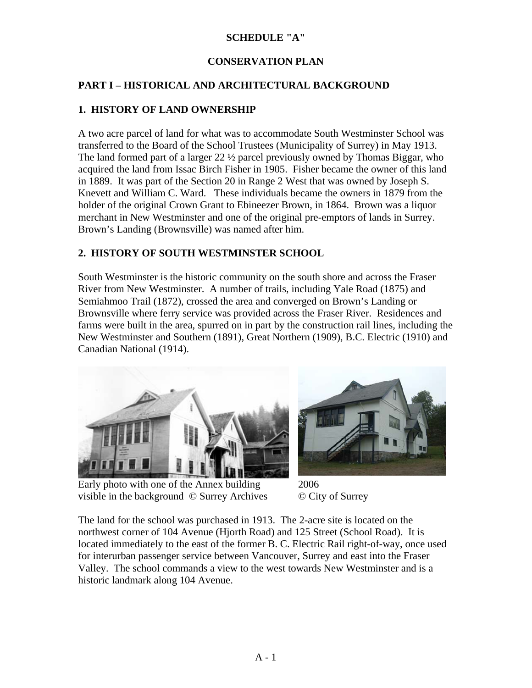# **SCHEDULE "A"**

# **CONSERVATION PLAN**

# **PART I – HISTORICAL AND ARCHITECTURAL BACKGROUND**

# **1. HISTORY OF LAND OWNERSHIP**

A two acre parcel of land for what was to accommodate South Westminster School was transferred to the Board of the School Trustees (Municipality of Surrey) in May 1913. The land formed part of a larger 22 ½ parcel previously owned by Thomas Biggar, who acquired the land from Issac Birch Fisher in 1905. Fisher became the owner of this land in 1889. It was part of the Section 20 in Range 2 West that was owned by Joseph S. Knevett and William C. Ward. These individuals became the owners in 1879 from the holder of the original Crown Grant to Ebineezer Brown, in 1864. Brown was a liquor merchant in New Westminster and one of the original pre-emptors of lands in Surrey. Brown's Landing (Brownsville) was named after him.

# **2. HISTORY OF SOUTH WESTMINSTER SCHOOL**

South Westminster is the historic community on the south shore and across the Fraser River from New Westminster. A number of trails, including Yale Road (1875) and Semiahmoo Trail (1872), crossed the area and converged on Brown's Landing or Brownsville where ferry service was provided across the Fraser River. Residences and farms were built in the area, spurred on in part by the construction rail lines, including the New Westminster and Southern (1891), Great Northern (1909), B.C. Electric (1910) and Canadian National (1914).



Early photo with one of the Annex building visible in the background © Surrey Archives



2006 © City of Surrey

The land for the school was purchased in 1913. The 2-acre site is located on the northwest corner of 104 Avenue (Hjorth Road) and 125 Street (School Road). It is located immediately to the east of the former B. C. Electric Rail right-of-way, once used for interurban passenger service between Vancouver, Surrey and east into the Fraser Valley. The school commands a view to the west towards New Westminster and is a historic landmark along 104 Avenue.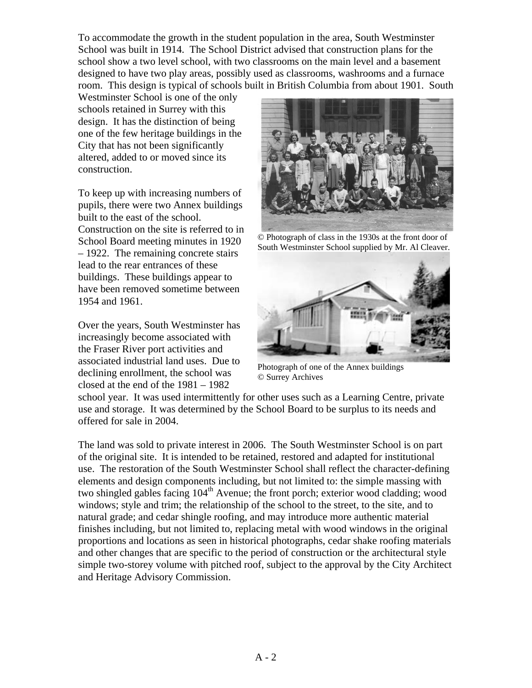To accommodate the growth in the student population in the area, South Westminster School was built in 1914. The School District advised that construction plans for the school show a two level school, with two classrooms on the main level and a basement designed to have two play areas, possibly used as classrooms, washrooms and a furnace room. This design is typical of schools built in British Columbia from about 1901. South

Westminster School is one of the only schools retained in Surrey with this design. It has the distinction of being one of the few heritage buildings in the City that has not been significantly altered, added to or moved since its construction.

To keep up with increasing numbers of pupils, there were two Annex buildings built to the east of the school. Construction on the site is referred to in School Board meeting minutes in 1920 – 1922. The remaining concrete stairs lead to the rear entrances of these buildings. These buildings appear to have been removed sometime between 1954 and 1961.

Over the years, South Westminster has increasingly become associated with the Fraser River port activities and associated industrial land uses. Due to declining enrollment, the school was closed at the end of the 1981 – 1982



© Photograph of class in the 1930s at the front door of South Westminster School supplied by Mr. Al Cleaver.



Photograph of one of the Annex buildings © Surrey Archives

school year. It was used intermittently for other uses such as a Learning Centre, private use and storage. It was determined by the School Board to be surplus to its needs and offered for sale in 2004.

The land was sold to private interest in 2006. The South Westminster School is on part of the original site. It is intended to be retained, restored and adapted for institutional use. The restoration of the South Westminster School shall reflect the character-defining elements and design components including, but not limited to: the simple massing with two shingled gables facing  $104<sup>th</sup>$  Avenue; the front porch; exterior wood cladding; wood windows; style and trim; the relationship of the school to the street, to the site, and to natural grade; and cedar shingle roofing, and may introduce more authentic material finishes including, but not limited to, replacing metal with wood windows in the original proportions and locations as seen in historical photographs, cedar shake roofing materials and other changes that are specific to the period of construction or the architectural style simple two-storey volume with pitched roof, subject to the approval by the City Architect and Heritage Advisory Commission.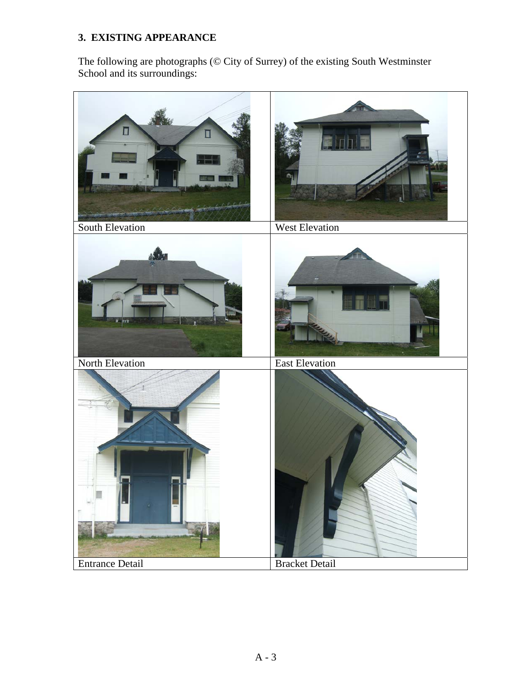# **3. EXISTING APPEARANCE**

The following are photographs (© City of Surrey) of the existing South Westminster School and its surroundings:

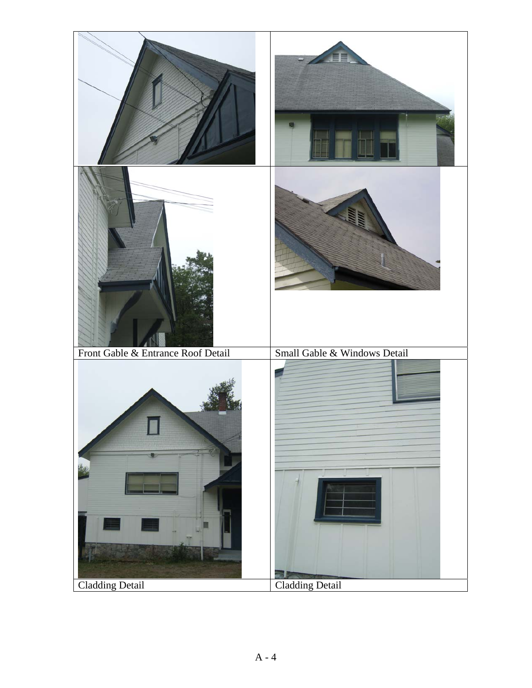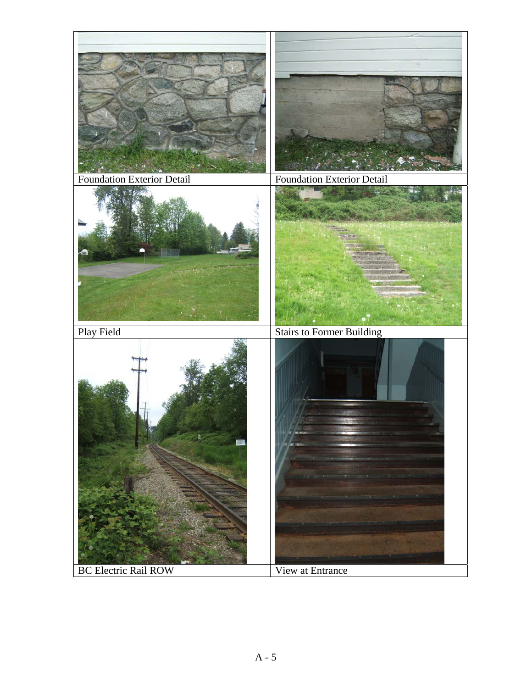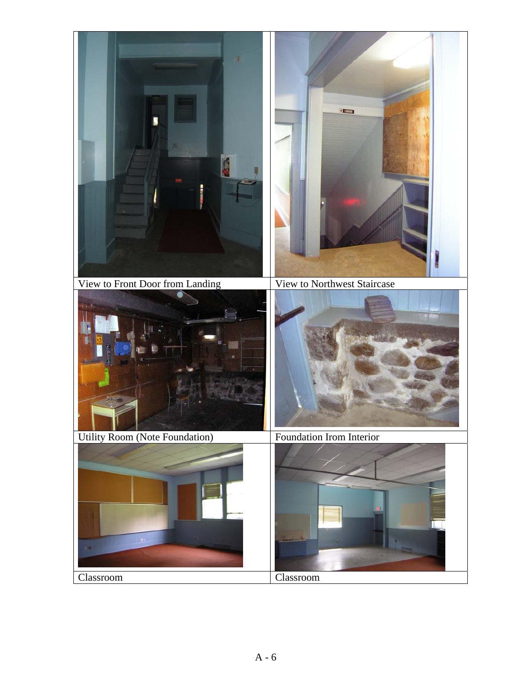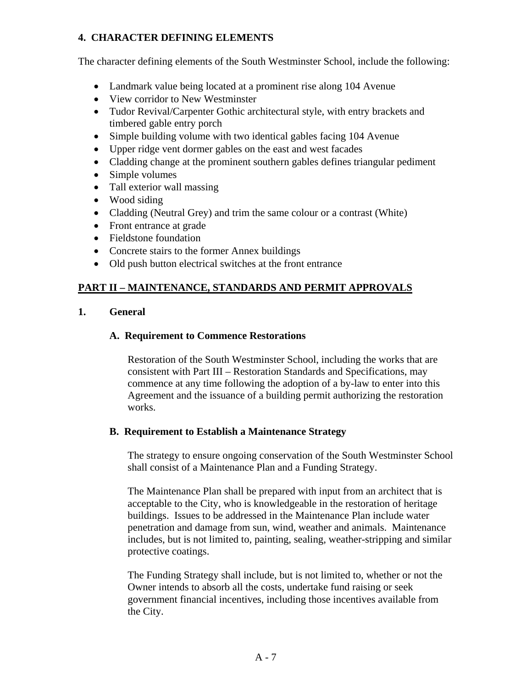# **4. CHARACTER DEFINING ELEMENTS**

The character defining elements of the South Westminster School, include the following:

- Landmark value being located at a prominent rise along 104 Avenue
- View corridor to New Westminster
- Tudor Revival/Carpenter Gothic architectural style, with entry brackets and timbered gable entry porch
- Simple building volume with two identical gables facing 104 Avenue
- Upper ridge vent dormer gables on the east and west facades
- Cladding change at the prominent southern gables defines triangular pediment
- Simple volumes
- Tall exterior wall massing
- Wood siding
- Cladding (Neutral Grey) and trim the same colour or a contrast (White)
- Front entrance at grade
- Fieldstone foundation
- Concrete stairs to the former Annex buildings
- Old push button electrical switches at the front entrance

## **PART II – MAINTENANCE, STANDARDS AND PERMIT APPROVALS**

**1. General** 

## **A. Requirement to Commence Restorations**

Restoration of the South Westminster School, including the works that are consistent with Part III – Restoration Standards and Specifications, may commence at any time following the adoption of a by-law to enter into this Agreement and the issuance of a building permit authorizing the restoration works.

### **B. Requirement to Establish a Maintenance Strategy**

The strategy to ensure ongoing conservation of the South Westminster School shall consist of a Maintenance Plan and a Funding Strategy.

The Maintenance Plan shall be prepared with input from an architect that is acceptable to the City, who is knowledgeable in the restoration of heritage buildings. Issues to be addressed in the Maintenance Plan include water penetration and damage from sun, wind, weather and animals. Maintenance includes, but is not limited to, painting, sealing, weather-stripping and similar protective coatings.

The Funding Strategy shall include, but is not limited to, whether or not the Owner intends to absorb all the costs, undertake fund raising or seek government financial incentives, including those incentives available from the City.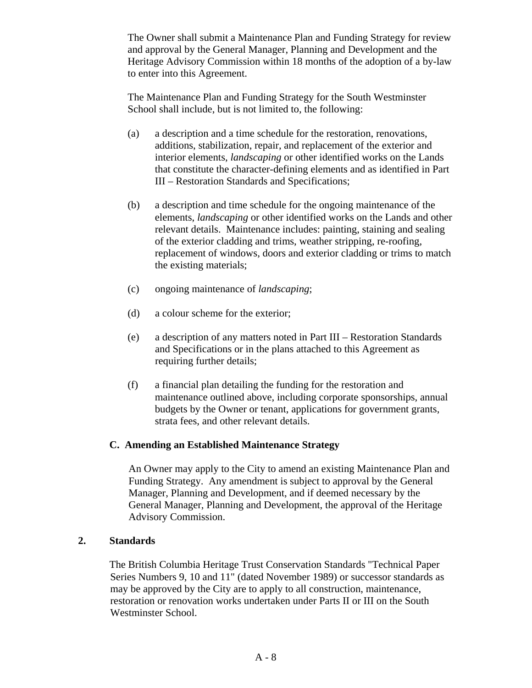The Owner shall submit a Maintenance Plan and Funding Strategy for review and approval by the General Manager, Planning and Development and the Heritage Advisory Commission within 18 months of the adoption of a by-law to enter into this Agreement.

The Maintenance Plan and Funding Strategy for the South Westminster School shall include, but is not limited to, the following:

- (a) a description and a time schedule for the restoration, renovations, additions, stabilization, repair, and replacement of the exterior and interior elements, *landscaping* or other identified works on the Lands that constitute the character-defining elements and as identified in Part III – Restoration Standards and Specifications;
- (b) a description and time schedule for the ongoing maintenance of the elements, *landscaping* or other identified works on the Lands and other relevant details. Maintenance includes: painting, staining and sealing of the exterior cladding and trims, weather stripping, re-roofing, replacement of windows, doors and exterior cladding or trims to match the existing materials;
- (c) ongoing maintenance of *landscaping*;
- (d) a colour scheme for the exterior;
- (e) a description of any matters noted in Part III Restoration Standards and Specifications or in the plans attached to this Agreement as requiring further details;
- (f) a financial plan detailing the funding for the restoration and maintenance outlined above, including corporate sponsorships, annual budgets by the Owner or tenant, applications for government grants, strata fees, and other relevant details.

# **C. Amending an Established Maintenance Strategy**

An Owner may apply to the City to amend an existing Maintenance Plan and Funding Strategy. Any amendment is subject to approval by the General Manager, Planning and Development, and if deemed necessary by the General Manager, Planning and Development, the approval of the Heritage Advisory Commission.

### **2. Standards**

The British Columbia Heritage Trust Conservation Standards "Technical Paper Series Numbers 9, 10 and 11" (dated November 1989) or successor standards as may be approved by the City are to apply to all construction, maintenance, restoration or renovation works undertaken under Parts II or III on the South Westminster School.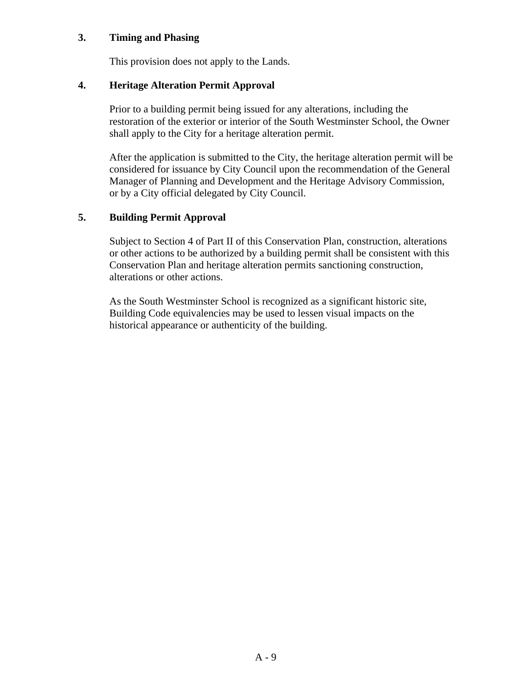## **3. Timing and Phasing**

This provision does not apply to the Lands.

### **4. Heritage Alteration Permit Approval**

Prior to a building permit being issued for any alterations, including the restoration of the exterior or interior of the South Westminster School, the Owner shall apply to the City for a heritage alteration permit.

After the application is submitted to the City, the heritage alteration permit will be considered for issuance by City Council upon the recommendation of the General Manager of Planning and Development and the Heritage Advisory Commission, or by a City official delegated by City Council.

# **5. Building Permit Approval**

Subject to Section 4 of Part II of this Conservation Plan, construction, alterations or other actions to be authorized by a building permit shall be consistent with this Conservation Plan and heritage alteration permits sanctioning construction, alterations or other actions.

As the South Westminster School is recognized as a significant historic site, Building Code equivalencies may be used to lessen visual impacts on the historical appearance or authenticity of the building.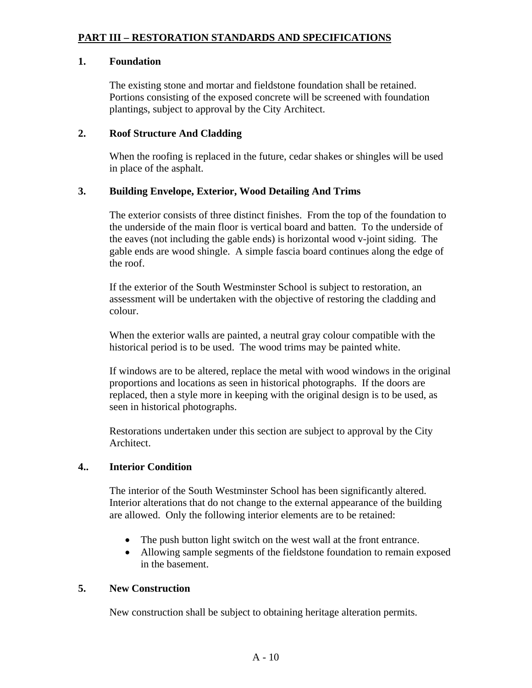# **PART III – RESTORATION STANDARDS AND SPECIFICATIONS**

### **1. Foundation**

The existing stone and mortar and fieldstone foundation shall be retained. Portions consisting of the exposed concrete will be screened with foundation plantings, subject to approval by the City Architect.

## **2. Roof Structure And Cladding**

When the roofing is replaced in the future, cedar shakes or shingles will be used in place of the asphalt.

## **3. Building Envelope, Exterior, Wood Detailing And Trims**

The exterior consists of three distinct finishes. From the top of the foundation to the underside of the main floor is vertical board and batten. To the underside of the eaves (not including the gable ends) is horizontal wood v-joint siding. The gable ends are wood shingle. A simple fascia board continues along the edge of the roof.

If the exterior of the South Westminster School is subject to restoration, an assessment will be undertaken with the objective of restoring the cladding and colour.

When the exterior walls are painted, a neutral gray colour compatible with the historical period is to be used. The wood trims may be painted white.

If windows are to be altered, replace the metal with wood windows in the original proportions and locations as seen in historical photographs. If the doors are replaced, then a style more in keeping with the original design is to be used, as seen in historical photographs.

Restorations undertaken under this section are subject to approval by the City Architect.

# **4.. Interior Condition**

The interior of the South Westminster School has been significantly altered. Interior alterations that do not change to the external appearance of the building are allowed. Only the following interior elements are to be retained:

- The push button light switch on the west wall at the front entrance.
- Allowing sample segments of the fieldstone foundation to remain exposed in the basement.

### **5. New Construction**

New construction shall be subject to obtaining heritage alteration permits.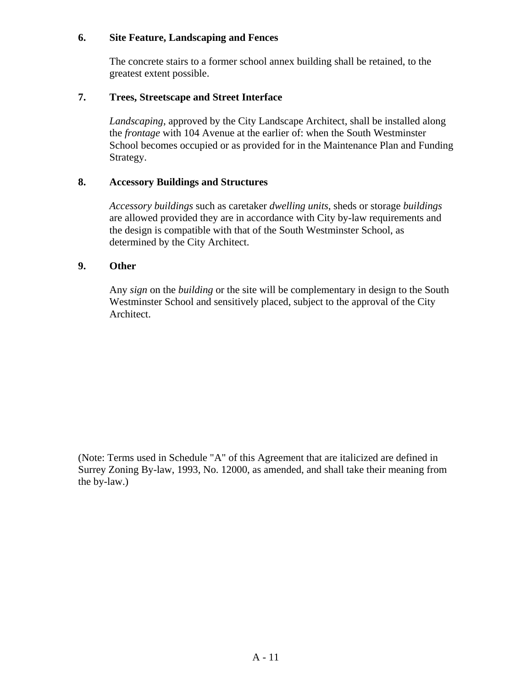## **6. Site Feature, Landscaping and Fences**

The concrete stairs to a former school annex building shall be retained, to the greatest extent possible.

## **7. Trees, Streetscape and Street Interface**

*Landscaping*, approved by the City Landscape Architect, shall be installed along the *frontage* with 104 Avenue at the earlier of: when the South Westminster School becomes occupied or as provided for in the Maintenance Plan and Funding Strategy.

## **8. Accessory Buildings and Structures**

*Accessory buildings* such as caretaker *dwelling units*, sheds or storage *buildings* are allowed provided they are in accordance with City by-law requirements and the design is compatible with that of the South Westminster School, as determined by the City Architect.

## **9. Other**

Any *sign* on the *building* or the site will be complementary in design to the South Westminster School and sensitively placed, subject to the approval of the City Architect.

(Note: Terms used in Schedule "A" of this Agreement that are italicized are defined in Surrey Zoning By-law, 1993, No. 12000, as amended, and shall take their meaning from the by-law.)